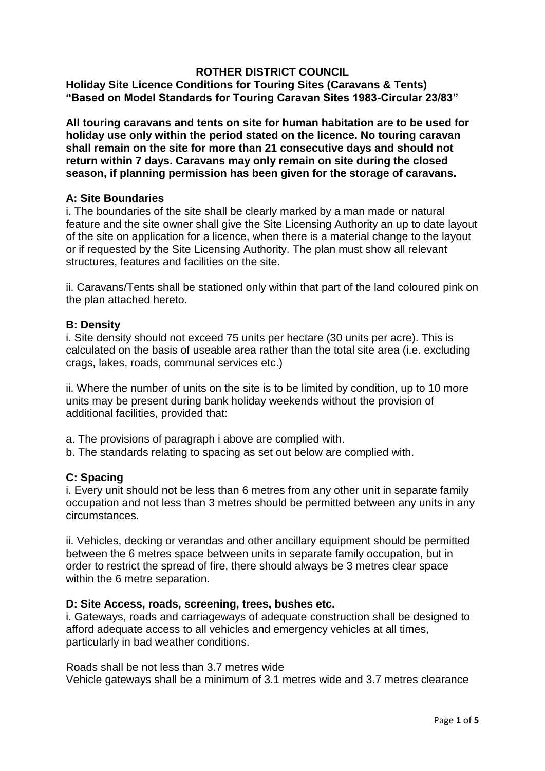# **ROTHER DISTRICT COUNCIL**

**Holiday Site Licence Conditions for Touring Sites (Caravans & Tents) "Based on Model Standards for Touring Caravan Sites 1983-Circular 23/83"** 

**All touring caravans and tents on site for human habitation are to be used for holiday use only within the period stated on the licence. No touring caravan shall remain on the site for more than 21 consecutive days and should not return within 7 days. Caravans may only remain on site during the closed season, if planning permission has been given for the storage of caravans.** 

## **A: Site Boundaries**

i. The boundaries of the site shall be clearly marked by a man made or natural feature and the site owner shall give the Site Licensing Authority an up to date layout of the site on application for a licence, when there is a material change to the layout or if requested by the Site Licensing Authority. The plan must show all relevant structures, features and facilities on the site.

ii. Caravans/Tents shall be stationed only within that part of the land coloured pink on the plan attached hereto.

#### **B: Density**

i. Site density should not exceed 75 units per hectare (30 units per acre). This is calculated on the basis of useable area rather than the total site area (i.e. excluding crags, lakes, roads, communal services etc.)

ii. Where the number of units on the site is to be limited by condition, up to 10 more units may be present during bank holiday weekends without the provision of additional facilities, provided that:

- a. The provisions of paragraph i above are complied with.
- b. The standards relating to spacing as set out below are complied with.

# **C: Spacing**

i. Every unit should not be less than 6 metres from any other unit in separate family occupation and not less than 3 metres should be permitted between any units in any circumstances.

ii. Vehicles, decking or verandas and other ancillary equipment should be permitted between the 6 metres space between units in separate family occupation, but in order to restrict the spread of fire, there should always be 3 metres clear space within the 6 metre separation.

#### **D: Site Access, roads, screening, trees, bushes etc.**

i. Gateways, roads and carriageways of adequate construction shall be designed to afford adequate access to all vehicles and emergency vehicles at all times, particularly in bad weather conditions.

Roads shall be not less than 3.7 metres wide Vehicle gateways shall be a minimum of 3.1 metres wide and 3.7 metres clearance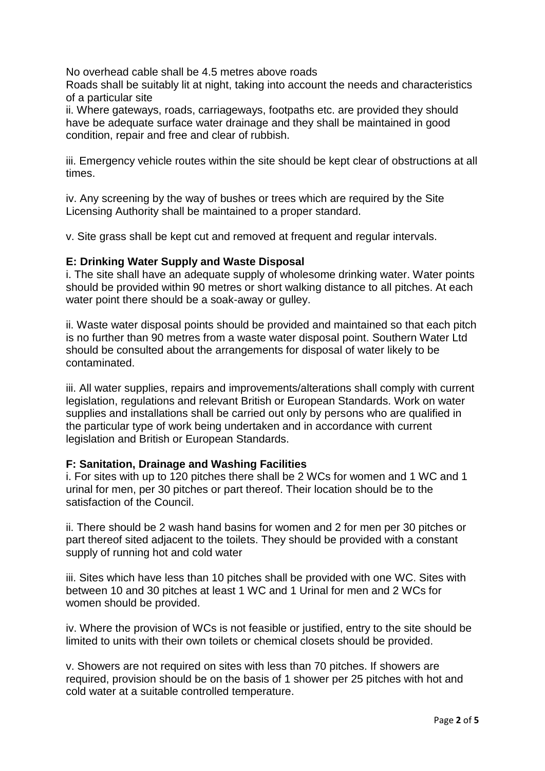No overhead cable shall be 4.5 metres above roads

Roads shall be suitably lit at night, taking into account the needs and characteristics of a particular site

ii. Where gateways, roads, carriageways, footpaths etc. are provided they should have be adequate surface water drainage and they shall be maintained in good condition, repair and free and clear of rubbish.

iii. Emergency vehicle routes within the site should be kept clear of obstructions at all times.

iv. Any screening by the way of bushes or trees which are required by the Site Licensing Authority shall be maintained to a proper standard.

v. Site grass shall be kept cut and removed at frequent and regular intervals.

## **E: Drinking Water Supply and Waste Disposal**

i. The site shall have an adequate supply of wholesome drinking water. Water points should be provided within 90 metres or short walking distance to all pitches. At each water point there should be a soak-away or gulley.

ii. Waste water disposal points should be provided and maintained so that each pitch is no further than 90 metres from a waste water disposal point. Southern Water Ltd should be consulted about the arrangements for disposal of water likely to be contaminated.

iii. All water supplies, repairs and improvements/alterations shall comply with current legislation, regulations and relevant British or European Standards. Work on water supplies and installations shall be carried out only by persons who are qualified in the particular type of work being undertaken and in accordance with current legislation and British or European Standards.

# **F: Sanitation, Drainage and Washing Facilities**

i. For sites with up to 120 pitches there shall be 2 WCs for women and 1 WC and 1 urinal for men, per 30 pitches or part thereof. Their location should be to the satisfaction of the Council.

ii. There should be 2 wash hand basins for women and 2 for men per 30 pitches or part thereof sited adjacent to the toilets. They should be provided with a constant supply of running hot and cold water

iii. Sites which have less than 10 pitches shall be provided with one WC. Sites with between 10 and 30 pitches at least 1 WC and 1 Urinal for men and 2 WCs for women should be provided.

iv. Where the provision of WCs is not feasible or justified, entry to the site should be limited to units with their own toilets or chemical closets should be provided.

v. Showers are not required on sites with less than 70 pitches. If showers are required, provision should be on the basis of 1 shower per 25 pitches with hot and cold water at a suitable controlled temperature.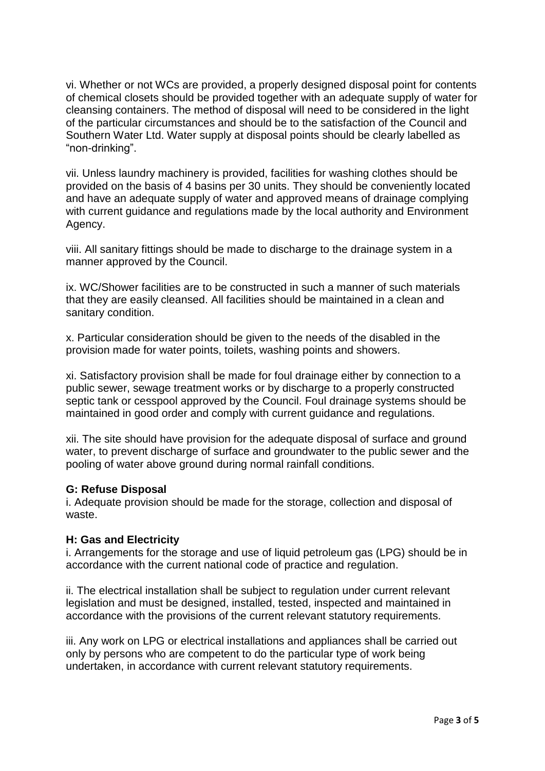vi. Whether or not WCs are provided, a properly designed disposal point for contents of chemical closets should be provided together with an adequate supply of water for cleansing containers. The method of disposal will need to be considered in the light of the particular circumstances and should be to the satisfaction of the Council and Southern Water Ltd. Water supply at disposal points should be clearly labelled as "non-drinking".

vii. Unless laundry machinery is provided, facilities for washing clothes should be provided on the basis of 4 basins per 30 units. They should be conveniently located and have an adequate supply of water and approved means of drainage complying with current guidance and regulations made by the local authority and Environment Agency.

viii. All sanitary fittings should be made to discharge to the drainage system in a manner approved by the Council.

ix. WC/Shower facilities are to be constructed in such a manner of such materials that they are easily cleansed. All facilities should be maintained in a clean and sanitary condition.

x. Particular consideration should be given to the needs of the disabled in the provision made for water points, toilets, washing points and showers.

xi. Satisfactory provision shall be made for foul drainage either by connection to a public sewer, sewage treatment works or by discharge to a properly constructed septic tank or cesspool approved by the Council. Foul drainage systems should be maintained in good order and comply with current guidance and regulations.

xii. The site should have provision for the adequate disposal of surface and ground water, to prevent discharge of surface and groundwater to the public sewer and the pooling of water above ground during normal rainfall conditions.

#### **G: Refuse Disposal**

i. Adequate provision should be made for the storage, collection and disposal of waste.

#### **H: Gas and Electricity**

i. Arrangements for the storage and use of liquid petroleum gas (LPG) should be in accordance with the current national code of practice and regulation.

ii. The electrical installation shall be subject to regulation under current relevant legislation and must be designed, installed, tested, inspected and maintained in accordance with the provisions of the current relevant statutory requirements.

iii. Any work on LPG or electrical installations and appliances shall be carried out only by persons who are competent to do the particular type of work being undertaken, in accordance with current relevant statutory requirements.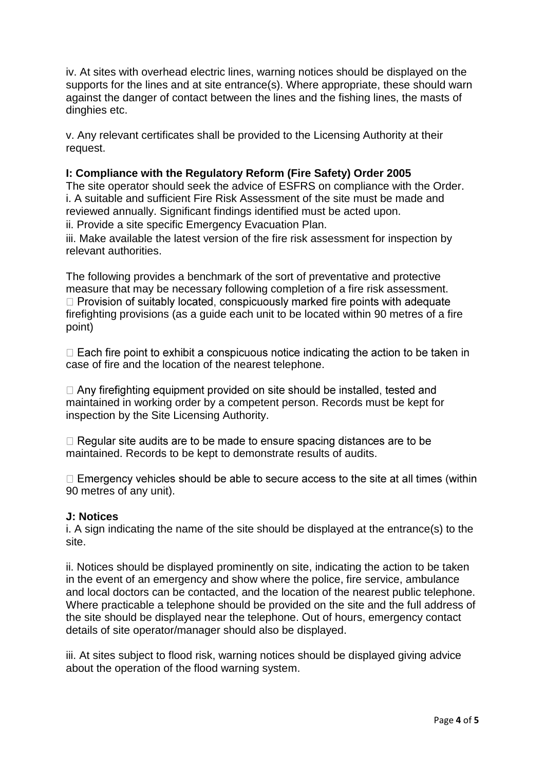iv. At sites with overhead electric lines, warning notices should be displayed on the supports for the lines and at site entrance(s). Where appropriate, these should warn against the danger of contact between the lines and the fishing lines, the masts of dinghies etc.

v. Any relevant certificates shall be provided to the Licensing Authority at their request.

## **I: Compliance with the Regulatory Reform (Fire Safety) Order 2005**

The site operator should seek the advice of ESFRS on compliance with the Order. i. A suitable and sufficient Fire Risk Assessment of the site must be made and reviewed annually. Significant findings identified must be acted upon.

ii. Provide a site specific Emergency Evacuation Plan.

iii. Make available the latest version of the fire risk assessment for inspection by relevant authorities.

The following provides a benchmark of the sort of preventative and protective measure that may be necessary following completion of a fire risk assessment.  $\Box$  Provision of suitably located, conspicuously marked fire points with adequate firefighting provisions (as a guide each unit to be located within 90 metres of a fire point)

 $\Box$  Each fire point to exhibit a conspicuous notice indicating the action to be taken in case of fire and the location of the nearest telephone.

 $\Box$  Any firefighting equipment provided on site should be installed, tested and maintained in working order by a competent person. Records must be kept for inspection by the Site Licensing Authority.

 $\Box$  Regular site audits are to be made to ensure spacing distances are to be maintained. Records to be kept to demonstrate results of audits.

 $\Box$  Emergency vehicles should be able to secure access to the site at all times (within 90 metres of any unit).

#### **J: Notices**

i. A sign indicating the name of the site should be displayed at the entrance(s) to the site.

ii. Notices should be displayed prominently on site, indicating the action to be taken in the event of an emergency and show where the police, fire service, ambulance and local doctors can be contacted, and the location of the nearest public telephone. Where practicable a telephone should be provided on the site and the full address of the site should be displayed near the telephone. Out of hours, emergency contact details of site operator/manager should also be displayed.

iii. At sites subject to flood risk, warning notices should be displayed giving advice about the operation of the flood warning system.